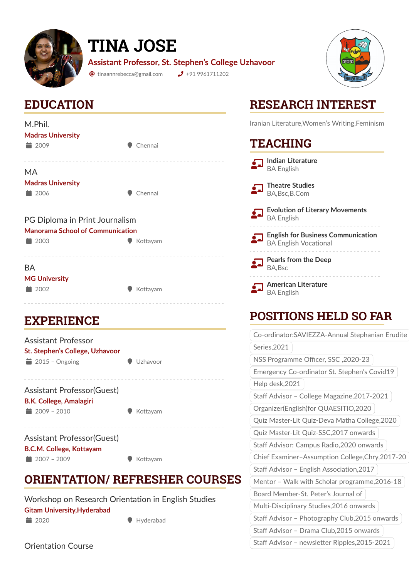

# **TINA JOSE**

**Assistant Professor, St. Stephen's College Uzhavoor**

 $\bullet$  tinaannrebecca@gmail.com  $\bullet$  +91 9961711202



### **EDUCATION**

| M.Phil.                                 |          |  |
|-----------------------------------------|----------|--|
| <b>Madras University</b>                |          |  |
| $\equiv 2009$                           | Chennai  |  |
|                                         |          |  |
| MA                                      |          |  |
| <b>Madras University</b>                |          |  |
| $\equiv$ 2006                           | Chennai  |  |
|                                         |          |  |
|                                         |          |  |
|                                         |          |  |
| PG Diploma in Print Journalism          |          |  |
| <b>Manorama School of Communication</b> |          |  |
| $\equiv$ 2003                           | Kottayam |  |
|                                         |          |  |
| BА                                      |          |  |
| <b>MG University</b>                    |          |  |
| 2002                                    | Kottayam |  |

#### **EXPERIENCE**

| Assistant Professor<br>St. Stephen's College, Uzhavoor |          |
|--------------------------------------------------------|----------|
| $\equiv$ 2015 - Ongoing                                | Uzhavoor |
| <b>Assistant Professor (Guest)</b>                     |          |
| <b>B.K. College, Amalagiri</b>                         |          |

 $\frac{1}{2009}$  – 2010

|  | Kottayam |  |
|--|----------|--|
|--|----------|--|

Assistant Professor(Guest) **B.C.M. College, Kottayam**  $\bullet$  2007 – 2009 ( Kottayam

## **ORIENTATION/ REFRESHER COURSES**

| Workshop on Research Orientation in English Studies |               |           |
|-----------------------------------------------------|---------------|-----------|
| <b>Gitam University, Hyderabad</b>                  |               |           |
|                                                     | $\equiv$ 2020 | Hyderabad |
|                                                     |               |           |

## **RESEARCH INTEREST**

Iranian Literature,Women's Writing,Feminism

#### **TEACHING**

| <b>Indian Literature</b><br><b>BA English</b>                             |
|---------------------------------------------------------------------------|
| <b>Theatre Studies</b><br>BA, Bsc, B.Com                                  |
| <b>Evolution of Literary Movements</b><br><b>BA English</b>               |
| <b>English for Business Communication</b><br><b>BA English Vocational</b> |
| <b>Pearls from the Deep</b><br><b>BA, Bsc</b>                             |
| <b>American Literature</b><br><b>BA English</b>                           |

### **POSITIONS HELD SO FAR**

| Co-ordinator:SAVIEZZA-Annual Stephanian Erudite  |  |
|--------------------------------------------------|--|
| Series, 2021                                     |  |
| NSS Programme Officer, SSC, 2020-23              |  |
| Emergency Co-ordinator St. Stephen's Covid19     |  |
| Help desk, 2021                                  |  |
| Staff Advisor - College Magazine, 2017-2021      |  |
| Organizer(English)for QUAESITIO, 2020            |  |
| Quiz Master-Lit Quiz-Deva Matha College, 2020    |  |
| Quiz Master-Lit Quiz-SSC, 2017 onwards           |  |
| Staff Advisor: Campus Radio, 2020 onwards        |  |
| Chief Examiner-Assumption College, Chry, 2017-20 |  |
| Staff Advisor - English Association, 2017        |  |
| Mentor - Walk with Scholar programme, 2016-18    |  |
| Board Member-St. Peter's Journal of              |  |
| Multi-Disciplinary Studies, 2016 onwards         |  |
| Staff Advisor - Photography Club, 2015 onwards   |  |
| Staff Advisor - Drama Club, 2015 onwards         |  |
| Staff Advisor - newsletter Ripples, 2015-2021    |  |

Orientation Course